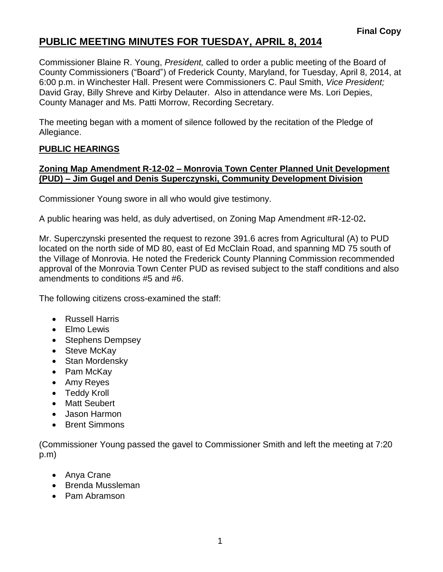### **PUBLIC MEETING MINUTES FOR TUESDAY, APRIL 8, 2014**

Commissioner Blaine R. Young, *President,* called to order a public meeting of the Board of County Commissioners ("Board") of Frederick County, Maryland, for Tuesday, April 8, 2014, at 6:00 p.m. in Winchester Hall. Present were Commissioners C. Paul Smith, *Vice President;* David Gray, Billy Shreve and Kirby Delauter. Also in attendance were Ms. Lori Depies, County Manager and Ms. Patti Morrow, Recording Secretary.

The meeting began with a moment of silence followed by the recitation of the Pledge of Allegiance.

#### **PUBLIC HEARINGS**

#### **Zoning Map Amendment R-12-02 – Monrovia Town Center Planned Unit Development (PUD) – Jim Gugel and Denis Superczynski, Community Development Division**

Commissioner Young swore in all who would give testimony.

A public hearing was held, as duly advertised, on Zoning Map Amendment #R-12-02**.**

Mr. Superczynski presented the request to rezone 391.6 acres from Agricultural (A) to PUD located on the north side of MD 80, east of Ed McClain Road, and spanning MD 75 south of the Village of Monrovia. He noted the Frederick County Planning Commission recommended approval of the Monrovia Town Center PUD as revised subject to the staff conditions and also amendments to conditions #5 and #6.

The following citizens cross-examined the staff:

- Russell Harris
- Elmo Lewis
- Stephens Dempsey
- Steve McKav
- Stan Mordensky
- Pam McKay
- Amy Reyes
- Teddy Kroll
- Matt Seubert
- Jason Harmon
- Brent Simmons

(Commissioner Young passed the gavel to Commissioner Smith and left the meeting at 7:20 p.m)

- Anya Crane
- Brenda Mussleman
- Pam Abramson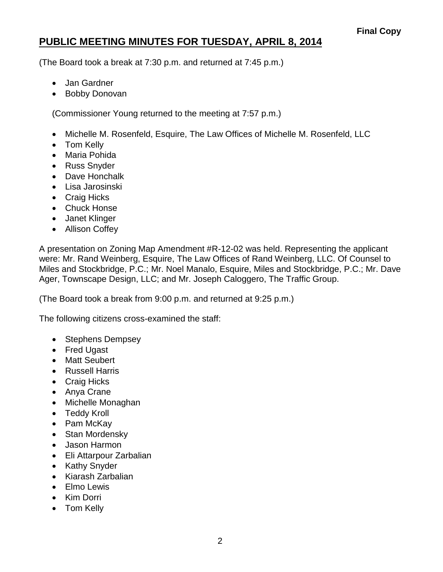# **PUBLIC MEETING MINUTES FOR TUESDAY, APRIL 8, 2014**

(The Board took a break at 7:30 p.m. and returned at 7:45 p.m.)

- Jan Gardner
- Bobby Donovan

(Commissioner Young returned to the meeting at 7:57 p.m.)

- Michelle M. Rosenfeld, Esquire, The Law Offices of Michelle M. Rosenfeld, LLC
- Tom Kelly
- Maria Pohida
- Russ Snyder
- Dave Honchalk
- Lisa Jarosinski
- Craig Hicks
- Chuck Honse
- Janet Klinger
- Allison Coffey

A presentation on Zoning Map Amendment #R-12-02 was held. Representing the applicant were: Mr. Rand Weinberg, Esquire, The Law Offices of Rand Weinberg, LLC. Of Counsel to Miles and Stockbridge, P.C.; Mr. Noel Manalo, Esquire, Miles and Stockbridge, P.C.; Mr. Dave Ager, Townscape Design, LLC; and Mr. Joseph Caloggero, The Traffic Group.

(The Board took a break from 9:00 p.m. and returned at 9:25 p.m.)

The following citizens cross-examined the staff:

- Stephens Dempsey
- Fred Ugast
- Matt Seubert
- Russell Harris
- Craig Hicks
- Anya Crane
- Michelle Monaghan
- Teddy Kroll
- Pam McKay
- Stan Mordensky
- Jason Harmon
- Eli Attarpour Zarbalian
- Kathy Snyder
- Kiarash Zarbalian
- Elmo Lewis
- Kim Dorri
- Tom Kelly